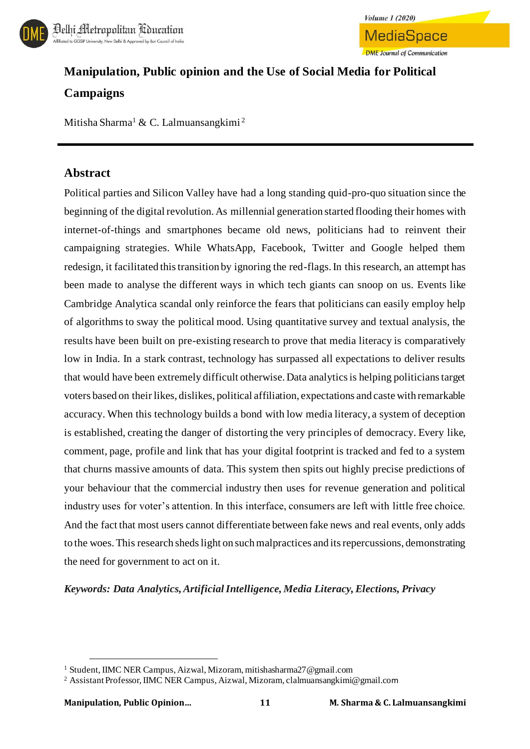



# **Manipulation, Public opinion and the Use of Social Media for Political Campaigns**

Mitisha Sharma<sup>1</sup> & C. Lalmuansangkimi<sup>2</sup>

### **Abstract**

Political parties and Silicon Valley have had a long standing quid-pro-quo situation since the beginning of the digital revolution. As millennial generation started flooding their homes with internet-of-things and smartphones became old news, politicians had to reinvent their campaigning strategies. While WhatsApp, Facebook, Twitter and Google helped them redesign, it facilitated this transition by ignoring the red-flags. In this research, an attempt has been made to analyse the different ways in which tech giants can snoop on us. Events like Cambridge Analytica scandal only reinforce the fears that politicians can easily employ help of algorithms to sway the political mood. Using quantitative survey and textual analysis, the results have been built on pre-existing research to prove that media literacy is comparatively low in India. In a stark contrast, technology has surpassed all expectations to deliver results that would have been extremely difficult otherwise. Data analytics is helping politicians target voters based on their likes, dislikes, political affiliation, expectations and caste with remarkable accuracy. When this technology builds a bond with low media literacy, a system of deception is established, creating the danger of distorting the very principles of democracy. Every like, comment, page, profile and link that has your digital footprint is tracked and fed to a system that churns massive amounts of data. This system then spits out highly precise predictions of your behaviour that the commercial industry then uses for revenue generation and political industry uses for voter's attention. In this interface, consumers are left with little free choice. And the fact that most users cannot differentiate between fake news and real events, only adds to the woes. This research sheds light on such malpractices and its repercussions, demonstrating the need for government to act on it.

#### *Keywords: Data Analytics, Artificial Intelligence, Media Literacy, Elections, Privacy*

<sup>1</sup> Student, IIMC NER Campus, Aizwal, Mizoram, mitishasharma27@gmail.com

<sup>2</sup> Assistant Professor, IIMC NER Campus, Aizwal, Mizoram, clalmuansangkimi@gmail.com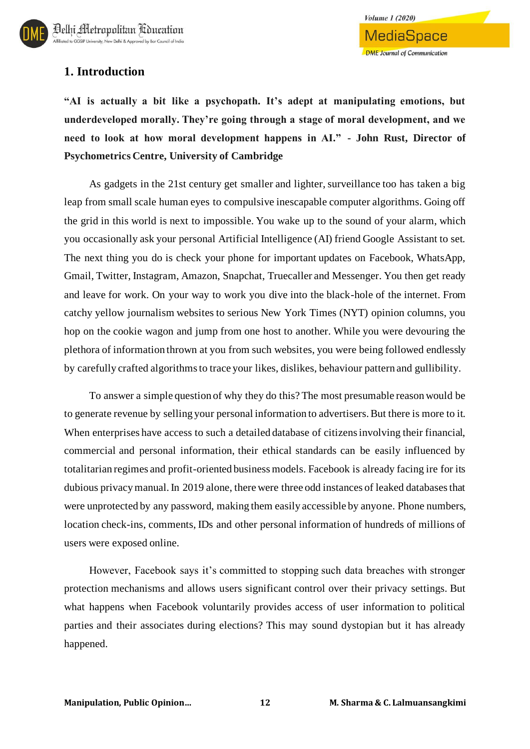

### **1. Introduction**

**"AI is actually a bit like a psychopath. It's adept at manipulating emotions, but underdeveloped morally. They're going through a stage of moral development, and we need to look at how moral development happens in AI." - John Rust, Director of Psychometrics Centre, University of Cambridge**

As gadgets in the 21st century get smaller and lighter, surveillance too has taken a big leap from small scale human eyes to compulsive inescapable computer algorithms. Going off the grid in this world is next to impossible. You wake up to the sound of your alarm, which you occasionally ask your personal Artificial Intelligence (AI) friend Google Assistant to set. The next thing you do is check your phone for important updates on Facebook, WhatsApp, Gmail, Twitter, Instagram, Amazon, Snapchat, Truecaller and Messenger. You then get ready and leave for work. On your way to work you dive into the black-hole of the internet. From catchy yellow journalism websites to serious New York Times (NYT) opinion columns, you hop on the cookie wagon and jump from one host to another. While you were devouring the plethora of information thrown at you from such websites, you were being followed endlessly by carefully crafted algorithms to trace your likes, dislikes, behaviour pattern and gullibility.

To answer a simple question of why they do this? The most presumable reason would be to generate revenue by selling your personal information to advertisers. But there is more to it. When enterprises have access to such a detailed database of citizens involving their financial, commercial and personal information, their ethical standards can be easily influenced by totalitarian regimes and profit-oriented business models. Facebook is already facing ire for its dubious privacy manual. In 2019 alone, there were three odd instances of leaked databases that were unprotected by any password, making them easily accessible by anyone. Phone numbers, location check-ins, comments, IDs and other personal information of hundreds of millions of users were exposed online.

However, Facebook says it's committed to stopping such data breaches with stronger protection mechanisms and allows users significant control over their privacy settings. But what happens when Facebook voluntarily provides access of user information to political parties and their associates during elections? This may sound dystopian but it has already happened.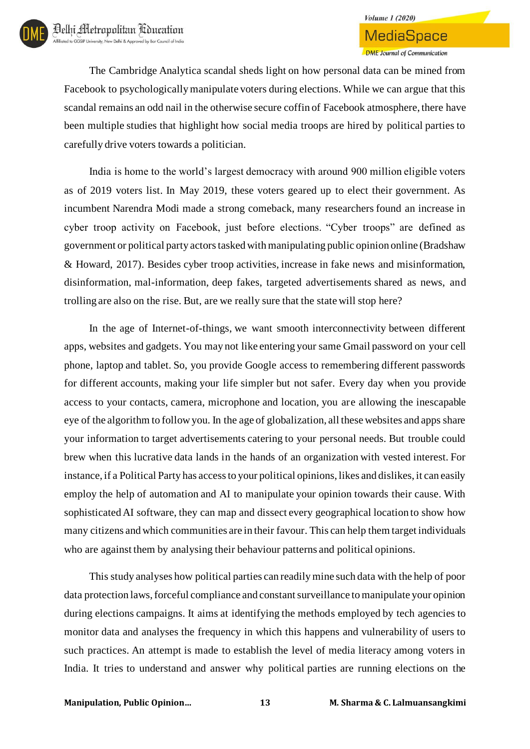# **Volume 1 (2020) MediaSpace DME** Journal of Communication

The Cambridge Analytica scandal sheds light on how personal data can be mined from Facebook to psychologically manipulate voters during elections. While we can argue that this scandal remains an odd nail in the otherwise secure coffin of Facebook atmosphere, there have been multiple studies that highlight how social media troops are hired by political parties to carefully drive voters towards a politician.

India is home to the world's largest democracy with around 900 million eligible voters as of 2019 voters list. In May 2019, these voters geared up to elect their government. As incumbent Narendra Modi made a strong comeback, many researchers found an increase in cyber troop activity on Facebook, just before elections. "Cyber troops" are defined as government or political party actors tasked with manipulating public opinion online (Bradshaw & Howard, 2017). Besides cyber troop activities, increase in fake news and misinformation, disinformation, mal-information, deep fakes, targeted advertisements shared as news, and trolling are also on the rise. But, are we really sure that the state will stop here?

In the age of Internet-of-things, we want smooth interconnectivity between different apps, websites and gadgets. You may not like entering your same Gmail password on your cell phone, laptop and tablet. So, you provide Google access to remembering different passwords for different accounts, making your life simpler but not safer. Every day when you provide access to your contacts, camera, microphone and location, you are allowing the inescapable eye of the algorithm to follow you. In the age of globalization, all these websites and apps share your information to target advertisements catering to your personal needs. But trouble could brew when this lucrative data lands in the hands of an organization with vested interest. For instance, if a Political Party has access to your political opinions, likes and dislikes, it can easily employ the help of automation and AI to manipulate your opinion towards their cause. With sophisticated AI software, they can map and dissect every geographical location to show how many citizens and which communities are in their favour. This can help them target individuals who are against them by analysing their behaviour patterns and political opinions.

This study analyses how political parties can readily mine such data with the help of poor data protection laws, forceful compliance and constant surveillance to manipulate your opinion during elections campaigns. It aims at identifying the methods employed by tech agencies to monitor data and analyses the frequency in which this happens and vulnerability of users to such practices. An attempt is made to establish the level of media literacy among voters in India. It tries to understand and answer why political parties are running elections on the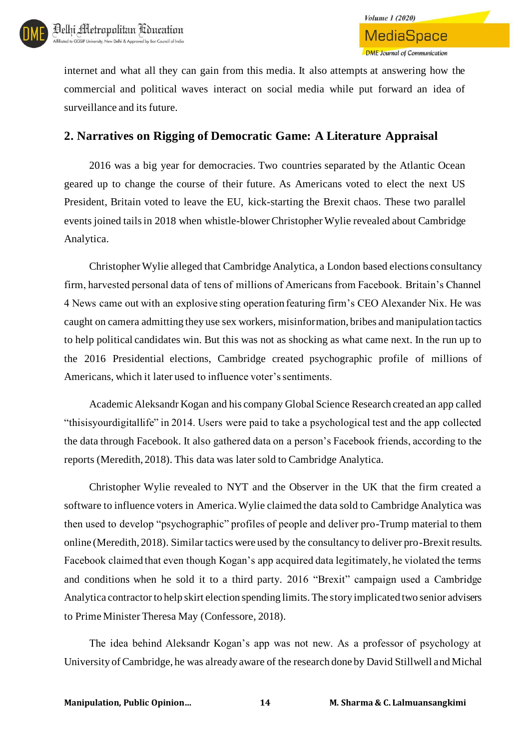

internet and what all they can gain from this media. It also attempts at answering how the commercial and political waves interact on social media while put forward an idea of surveillance and its future.

### **2. Narratives on Rigging of Democratic Game: A Literature Appraisal**

2016 was a big year for democracies. Two countries separated by the Atlantic Ocean geared up to change the course of their future. As Americans voted to elect the next US President, Britain voted to leave the EU, kick-starting the Brexit chaos. These two parallel events joined tails in 2018 when whistle-blower Christopher Wylie revealed about Cambridge Analytica.

Christopher Wylie alleged that Cambridge Analytica, a London based elections consultancy firm, harvested personal data of tens of millions of Americans from Facebook. Britain's Channel 4 News came out with an explosive sting operation featuring firm's CEO Alexander Nix. He was caught on camera admitting they use sex workers, misinformation, bribes and manipulation tactics to help political candidates win. But this was not as shocking as what came next. In the run up to the 2016 Presidential elections, Cambridge created psychographic profile of millions of Americans, which it later used to influence voter's sentiments.

Academic Aleksandr Kogan and his company Global Science Research created an app called "thisisyourdigitallife" in 2014. Users were paid to take a psychological test and the app collected the data through Facebook. It also gathered data on a person's Facebook friends, according to the reports (Meredith, 2018). This data was later sold to Cambridge Analytica.

Christopher Wylie revealed to NYT and the Observer in the UK that the firm created a software to influence voters in America. Wylie claimed the data sold to Cambridge Analytica was then used to develop "psychographic" profiles of people and deliver pro-Trump material to them online (Meredith, 2018). Similar tactics were used by the consultancy to deliver pro-Brexit results. Facebook claimed that even though Kogan's app acquired data legitimately, he violated the terms and conditions when he sold it to a third party. 2016 "Brexit" campaign used a Cambridge Analytica contractor to help skirt election spending limits. The story implicated two senior advisers to Prime Minister Theresa May (Confessore, 2018).

The idea behind Aleksandr Kogan's app was not new. As a professor of psychology at University of Cambridge, he was already aware of the research done by David Stillwell and Michal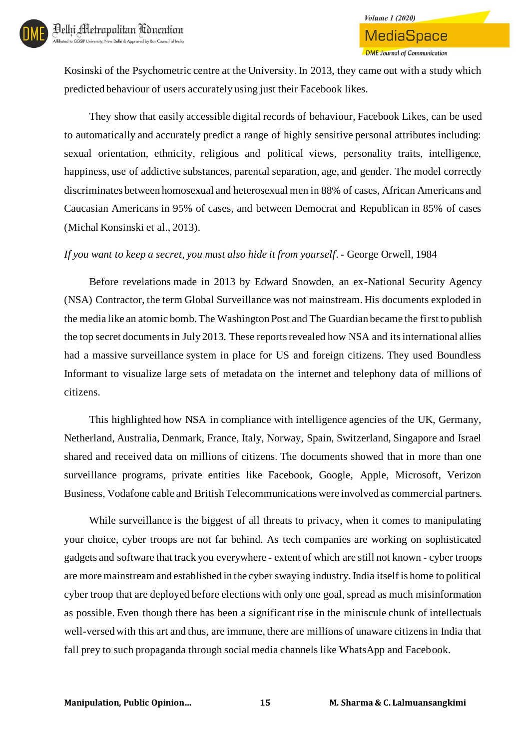Kosinski of the Psychometric centre at the University. In 2013, they came out with a study which predicted behaviour of users accurately using just their Facebook likes.

They show that easily accessible digital records of behaviour, Facebook Likes, can be used to automatically and accurately predict a range of highly sensitive personal attributes including: sexual orientation, ethnicity, religious and political views, personality traits, intelligence, happiness, use of addictive substances, parental separation, age, and gender. The model correctly discriminates between homosexual and heterosexual men in 88% of cases, African Americans and Caucasian Americans in 95% of cases, and between Democrat and Republican in 85% of cases (Michal Konsinski et al., 2013).

#### *If you want to keep a secret, you must also hide it from yourself. -* George Orwell, 1984

Before revelations made in 2013 by Edward Snowden, an ex-National Security Agency (NSA) Contractor, the term Global Surveillance was not mainstream. His documents exploded in the media like an atomic bomb. The Washington Post and The Guardian became the first to publish the top secret documents in July 2013. These reports revealed how NSA and its international allies had a massive surveillance system in place for US and foreign citizens. They used Boundless Informant to visualize large sets of metadata on the internet and telephony data of millions of citizens.

This highlighted how NSA in compliance with intelligence agencies of the UK, Germany, Netherland, Australia, Denmark, France, Italy, Norway, Spain, Switzerland, Singapore and Israel shared and received data on millions of citizens. The documents showed that in more than one surveillance programs, private entities like Facebook, Google, Apple, Microsoft, Verizon Business, Vodafone cable and British Telecommunications were involved as commercial partners.

While surveillance is the biggest of all threats to privacy, when it comes to manipulating your choice, cyber troops are not far behind. As tech companies are working on sophisticated gadgets and software that track you everywhere - extent of which are still not known - cyber troops are more mainstream and established in the cyber swaying industry. India itself is home to political cyber troop that are deployed before elections with only one goal, spread as much misinformation as possible. Even though there has been a significant rise in the miniscule chunk of intellectuals well-versed with this art and thus, are immune, there are millions of unaware citizens in India that fall prey to such propaganda through social media channels like WhatsApp and Facebook.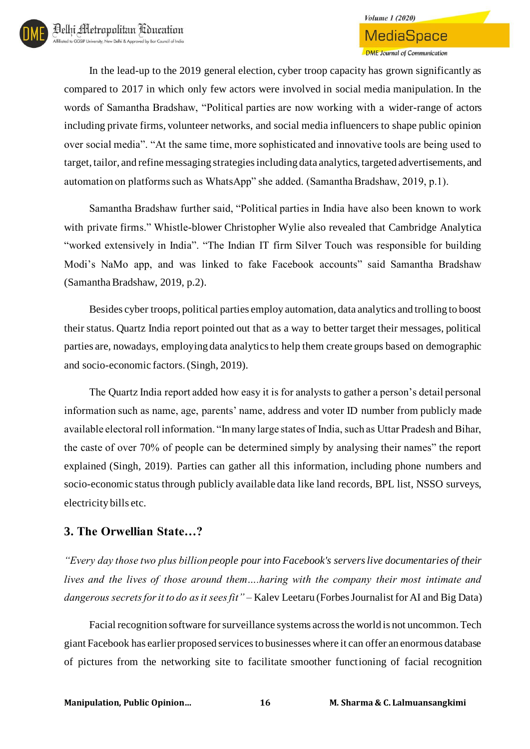## **Volume 1 (2020) MediaSpace DME** Journal of Communication

In the lead-up to the 2019 general election, cyber troop capacity has grown significantly as compared to 2017 in which only few actors were involved in social media manipulation. In the words of Samantha Bradshaw, "Political parties are now working with a wider-range of actors including private firms, volunteer networks, and social media influencers to shape public opinion over social media". "At the same time, more sophisticated and innovative tools are being used to target, tailor, and refine messaging strategies including data analytics, targeted advertisements, and automation on platforms such as WhatsApp" she added. (Samantha Bradshaw, 2019, p.1).

Samantha Bradshaw further said, "Political parties in India have also been known to work with private firms." Whistle-blower Christopher Wylie also revealed that Cambridge Analytica "worked extensively in India". "The Indian IT firm Silver Touch was responsible for building Modi's NaMo app, and was linked to fake Facebook accounts" said Samantha Bradshaw (Samantha Bradshaw, 2019, p.2).

Besides cyber troops, political parties employ automation, data analytics and trolling to boost their status. Quartz India report pointed out that as a way to better target their messages, political parties are, nowadays, employing data analytics to help them create groups based on demographic and socio-economic factors. (Singh, 2019).

The Quartz India report added how easy it is for analysts to gather a person's detail personal information such as name, age, parents' name, address and voter ID number from publicly made available electoral roll information. "In many large states of India, such as Uttar Pradesh and Bihar, the caste of over 70% of people can be determined simply by analysing their names" the report explained (Singh, 2019). Parties can gather all this information, including phone numbers and socio-economic status through publicly available data like land records, BPL list, NSSO surveys, electricity bills etc.

### **3. The Orwellian State…?**

*"Every day those two plus billion people pour into Facebook's servers live documentaries of their lives and the lives of those around them….haring with the company their most intimate and dangerous secrets for it to do as it sees fit"* – Kalev Leetaru (Forbes Journalist for AI and Big Data)

Facial recognition software for surveillance systems across the world is not uncommon. Tech giant Facebook has earlier proposed services to businesses where it can offer an enormous database of pictures from the networking site to facilitate smoother functioning of facial recognition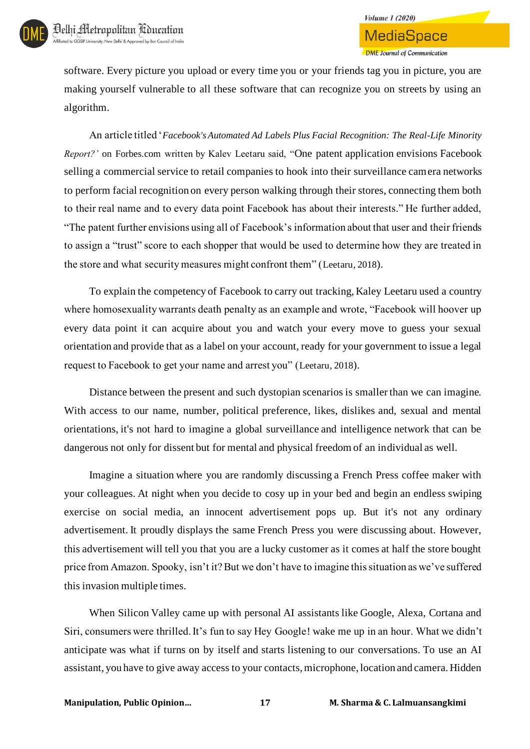

**DME** Journal of Communication

software. Every picture you upload or every time you or your friends tag you in picture, you are making yourself vulnerable to all these software that can recognize you on streets by using an algorithm.

An article titled '*Facebook's Automated Ad Labels Plus Facial Recognition: The Real-Life Minority Report?'* on Forbes.com written by Kalev Leetaru said, "One patent application envisions Facebook selling a commercial service to retail companies to hook into their surveillance camera networks to perform facial recognition on every person walking through their stores, connecting them both to their real name and to every data point Facebook has about their interests." He further added, "The patent further envisions using all of Facebook's information about that user and their friends to assign a "trust" score to each shopper that would be used to determine how they are treated in the store and what security measures might confront them" (Leetaru, 2018).

To explain the competency of Facebook to carry out tracking, Kaley Leetaru used a country where homosexuality warrants death penalty as an example and wrote, "Facebook will hoover up every data point it can acquire about you and watch your every move to guess your sexual orientation and provide that as a label on your account, ready for your government to issue a legal request to Facebook to get your name and arrest you" (Leetaru, 2018).

Distance between the present and such dystopian scenarios is smaller than we can imagine. With access to our name, number, political preference, likes, dislikes and, sexual and mental orientations, it's not hard to imagine a global surveillance and intelligence network that can be dangerous not only for dissent but for mental and physical freedom of an individual as well.

Imagine a situation where you are randomly discussing a French Press coffee maker with your colleagues. At night when you decide to cosy up in your bed and begin an endless swiping exercise on social media, an innocent advertisement pops up. But it's not any ordinary advertisement. It proudly displays the same French Press you were discussing about. However, this advertisement will tell you that you are a lucky customer as it comes at half the store bought price from Amazon. Spooky, isn't it? But we don't have to imagine this situation as we've suffered this invasion multiple times.

When Silicon Valley came up with personal AI assistants like Google, Alexa, Cortana and Siri, consumers were thrilled. It's fun to say Hey Google! wake me up in an hour. What we didn't anticipate was what if turns on by itself and starts listening to our conversations. To use an AI assistant, you have to give away access to your contacts, microphone, location and camera. Hidden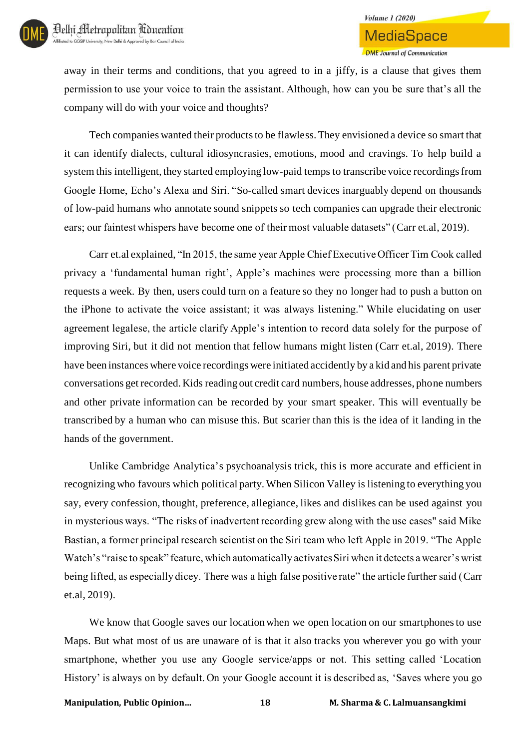

away in their terms and conditions, that you agreed to in a jiffy, is a clause that gives them permission to use your voice to train the assistant. Although, how can you be sure that's all the company will do with your voice and thoughts?

Tech companies wanted their products to be flawless. They envisioned a device so smart that it can identify dialects, cultural idiosyncrasies, emotions, mood and cravings. To help build a system this intelligent, they started employing low-paid temps to transcribe voice recordings from Google Home, Echo's Alexa and Siri. "So-called smart devices inarguably depend on thousands of low-paid humans who annotate sound snippets so tech companies can upgrade their electronic ears; our faintest whispers have become one of their most valuable datasets" (Carr et.al, 2019).

Carr et.al explained, "In 2015, the same year Apple Chief Executive Officer Tim Cook called privacy a 'fundamental human right', Apple's machines were processing more than a billion requests a week. By then, users could turn on a feature so they no longer had to push a button on the iPhone to activate the voice assistant; it was always listening." While elucidating on user agreement legalese, the article clarify Apple's intention to record data solely for the purpose of improving Siri, but it did not mention that fellow humans might listen (Carr et.al, 2019). There have been instances where voice recordings were initiated accidently by a kid and his parent private conversations get recorded. Kids reading out credit card numbers, house addresses, phone numbers and other private information can be recorded by your smart speaker. This will eventually be transcribed by a human who can misuse this. But scarier than this is the idea of it landing in the hands of the government.

Unlike Cambridge Analytica's psychoanalysis trick, this is more accurate and efficient in recognizing who favours which political party. When Silicon Valley is listening to everything you say, every confession, thought, preference, allegiance, likes and dislikes can be used against you in mysterious ways. "The risks of inadvertent recording grew along with the use cases" said Mike Bastian, a former principal research scientist on the Siri team who left Apple in 2019. "The Apple Watch's "raise to speak" feature, which automatically activates Siri when it detects a wearer's wrist being lifted, as especially dicey. There was a high false positive rate" the article further said (Carr et.al, 2019).

We know that Google saves our location when we open location on our smartphones to use Maps. But what most of us are unaware of is that it also tracks you wherever you go with your smartphone, whether you use any Google service/apps or not. This setting called 'Location History' is always on by default. On your Google account it is described as, 'Saves where you go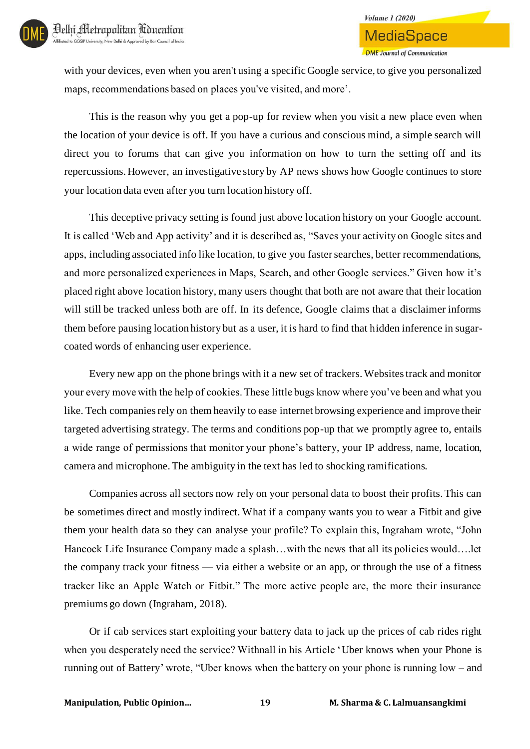# **Volume 1 (2020) MediaSpace DMF** Journal of Communication

with your devices, even when you aren't using a specific Google service, to give you personalized maps, recommendations based on places you've visited, and more'.

This is the reason why you get a pop-up for review when you visit a new place even when the location of your device is off. If you have a curious and conscious mind, a simple search will direct you to forums that can give you information on how to turn the setting off and its repercussions. However, an investigative story by AP news shows how Google continues to store your location data even after you turn location history off.

This deceptive privacy setting is found just above location history on your Google account. It is called 'Web and App activity' and it is described as, "Saves your activity on Google sites and apps, including associated info like location, to give you faster searches, better recommendations, and more personalized experiences in Maps, Search, and other Google services." Given how it's placed right above location history, many users thought that both are not aware that their location will still be tracked unless both are off. In its defence, Google claims that a disclaimer informs them before pausing location history but as a user, it is hard to find that hidden inference in sugarcoated words of enhancing user experience.

Every new app on the phone brings with it a new set of trackers. Websites track and monitor your every move with the help of cookies. These little bugs know where you've been and what you like. Tech companies rely on them heavily to ease internet browsing experience and improve their targeted advertising strategy. The terms and conditions pop-up that we promptly agree to, entails a wide range of permissions that monitor your phone's battery, your IP address, name, location, camera and microphone. The ambiguity in the text has led to shocking ramifications.

Companies across all sectors now rely on your personal data to boost their profits. This can be sometimes direct and mostly indirect. What if a company wants you to wear a Fitbit and give them your health data so they can analyse your profile? To explain this, Ingraham wrote, "John Hancock Life Insurance Company made a splash…with the news that all its policies would….let the company track your fitness — via either a website or an app, or through the use of a fitness tracker like an Apple Watch or Fitbit." The more active people are, the more their insurance premiums go down (Ingraham, 2018).

Or if cab services start exploiting your battery data to jack up the prices of cab rides right when you desperately need the service? Withnall in his Article 'Uber knows when your Phone is running out of Battery' wrote, "Uber knows when the battery on your phone is running low – and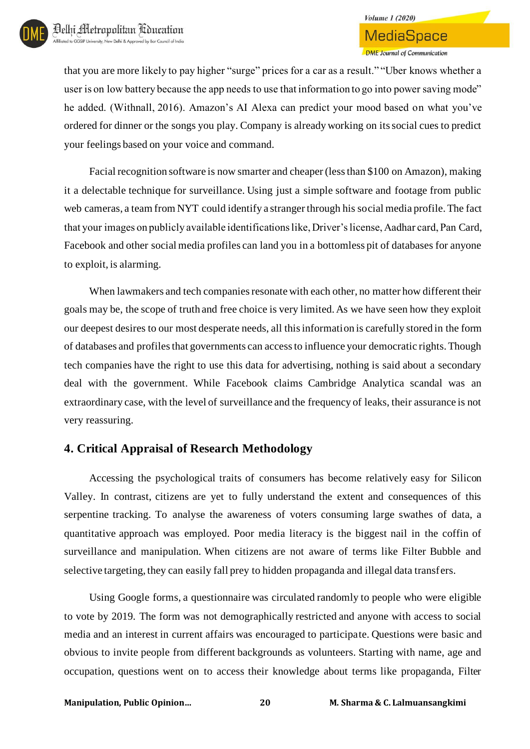

that you are more likely to pay higher "surge" prices for a car as a result." "Uber knows whether a user is on low battery because the app needs to use that information to go into power saving mode" he added. (Withnall, 2016). Amazon's AI Alexa can predict your mood based on what you've ordered for dinner or the songs you play. Company is already working on its social cues to predict your feelings based on your voice and command.

Facial recognition software is now smarter and cheaper (less than \$100 on Amazon), making it a delectable technique for surveillance. Using just a simple software and footage from public web cameras, a team from NYT could identify a stranger through his social media profile. The fact that your images on publicly available identifications like, Driver's license, Aadhar card, Pan Card, Facebook and other social media profiles can land you in a bottomless pit of databases for anyone to exploit, is alarming.

When lawmakers and tech companies resonate with each other, no matter how different their goals may be, the scope of truth and free choice is very limited. As we have seen how they exploit our deepest desires to our most desperate needs, all this information is carefully stored in the form of databases and profiles that governments can access to influence your democratic rights. Though tech companies have the right to use this data for advertising, nothing is said about a secondary deal with the government. While Facebook claims Cambridge Analytica scandal was an extraordinary case, with the level of surveillance and the frequency of leaks, their assurance is not very reassuring.

#### **4. Critical Appraisal of Research Methodology**

Accessing the psychological traits of consumers has become relatively easy for Silicon Valley. In contrast, citizens are yet to fully understand the extent and consequences of this serpentine tracking. To analyse the awareness of voters consuming large swathes of data, a quantitative approach was employed. Poor media literacy is the biggest nail in the coffin of surveillance and manipulation. When citizens are not aware of terms like Filter Bubble and selective targeting, they can easily fall prey to hidden propaganda and illegal data transfers.

Using Google forms, a questionnaire was circulated randomly to people who were eligible to vote by 2019. The form was not demographically restricted and anyone with access to social media and an interest in current affairs was encouraged to participate. Questions were basic and obvious to invite people from different backgrounds as volunteers. Starting with name, age and occupation, questions went on to access their knowledge about terms like propaganda, Filter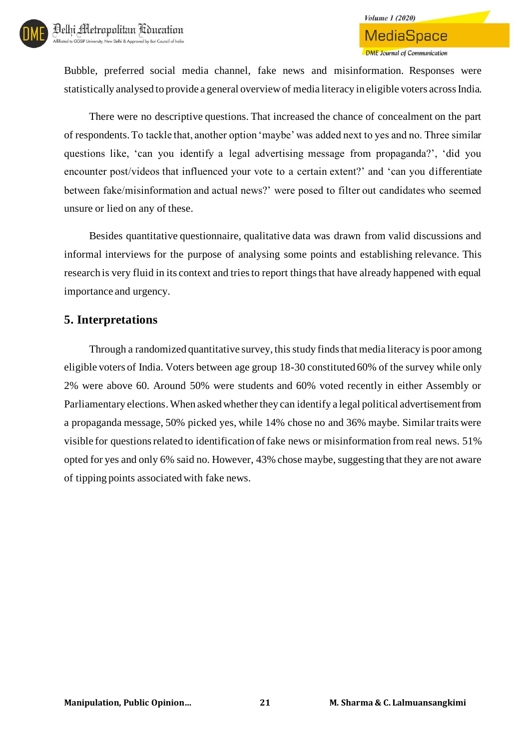# **MediaSpace DMF** Journal of Communication

**Volume 1 (2020)** 

Bubble, preferred social media channel, fake news and misinformation. Responses were statistically analysed to provide a general overview of media literacy in eligible voters across India.

There were no descriptive questions. That increased the chance of concealment on the part of respondents. To tackle that, another option 'maybe' was added next to yes and no. Three similar questions like, 'can you identify a legal advertising message from propaganda?', 'did you encounter post/videos that influenced your vote to a certain extent?' and 'can you differentiate between fake/misinformation and actual news?' were posed to filter out candidates who seemed unsure or lied on any of these.

Besides quantitative questionnaire, qualitative data was drawn from valid discussions and informal interviews for the purpose of analysing some points and establishing relevance. This research is very fluid in its context and tries to report things that have already happened with equal importance and urgency.

### **5. Interpretations**

Through a randomized quantitative survey, thisstudy finds that media literacy is poor among eligible voters of India. Voters between age group 18-30 constituted 60% of the survey while only 2% were above 60. Around 50% were students and 60% voted recently in either Assembly or Parliamentary elections. When asked whether they can identify a legal political advertisement from a propaganda message, 50% picked yes, while 14% chose no and 36% maybe. Similar traits were visible for questions related to identification of fake news or misinformation from real news. 51% opted for yes and only 6% said no. However, 43% chose maybe, suggesting that they are not aware of tipping points associated with fake news.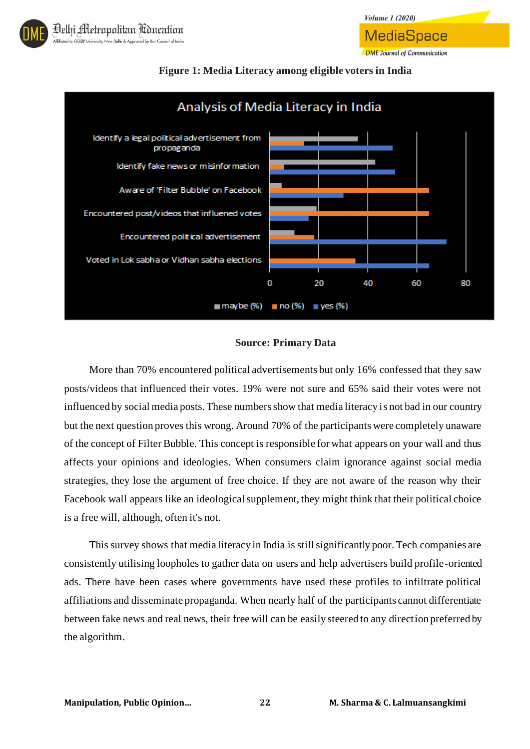

MediaSpace

**DME** Journal of Communication





#### **Figure 1: Media Literacy among eligible voters in India**

#### **Source: Primary Data**

More than 70% encountered political advertisements but only 16% confessed that they saw posts/videos that influenced their votes. 19% were not sure and 65% said their votes were not influenced by social media posts. These numbers show that media literacy is not bad in our country but the next question proves this wrong. Around 70% of the participants were completely unaware of the concept of Filter Bubble. This concept is responsible for what appears on your wall and thus affects your opinions and ideologies. When consumers claim ignorance against social media strategies, they lose the argument of free choice. If they are not aware of the reason why their Facebook wall appears like an ideological supplement, they might think that their political choice is a free will, although, often it's not.

This survey shows that media literacy in India is still significantly poor. Tech companies are consistently utilising loopholes to gather data on users and help advertisers build profile-oriented ads. There have been cases where governments have used these profiles to infiltrate political affiliations and disseminate propaganda. When nearly half of the participants cannot differentiate between fake news and real news, their free will can be easily steered to any direction preferred by the algorithm.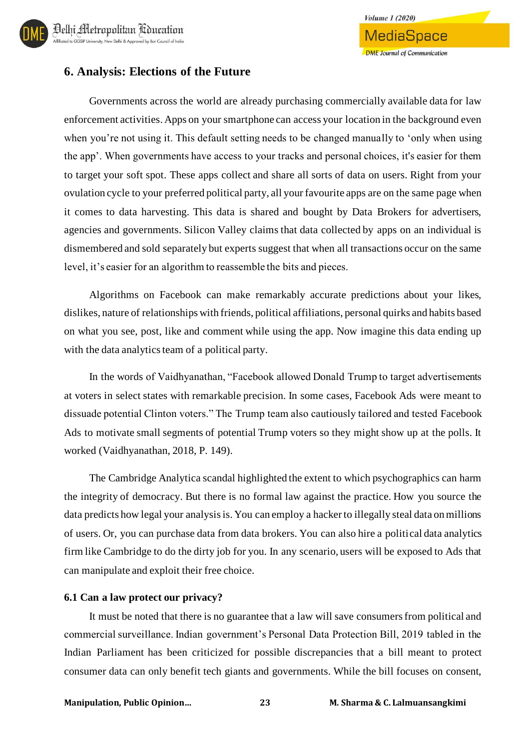

#### **6. Analysis: Elections of the Future**

Governments across the world are already purchasing commercially available data for law enforcement activities. Apps on your smartphone can access your location in the background even when you're not using it. This default setting needs to be changed manually to 'only when using the app'. When governments have access to your tracks and personal choices, it's easier for them to target your soft spot. These apps collect and share all sorts of data on users. Right from your ovulation cycle to your preferred political party, all your favourite apps are on the same page when it comes to data harvesting. This data is shared and bought by Data Brokers for advertisers, agencies and governments. Silicon Valley claims that data collected by apps on an individual is dismembered and sold separately but experts suggest that when all transactions occur on the same level, it's easier for an algorithm to reassemble the bits and pieces.

Algorithms on Facebook can make remarkably accurate predictions about your likes, dislikes, nature of relationships with friends, political affiliations, personal quirks and habits based on what you see, post, like and comment while using the app. Now imagine this data ending up with the data analytics team of a political party.

In the words of Vaidhyanathan, "Facebook allowed Donald Trump to target advertisements at voters in select states with remarkable precision. In some cases, Facebook Ads were meant to dissuade potential Clinton voters." The Trump team also cautiously tailored and tested Facebook Ads to motivate small segments of potential Trump voters so they might show up at the polls. It worked (Vaidhyanathan, 2018, P. 149).

The Cambridge Analytica scandal highlighted the extent to which psychographics can harm the integrity of democracy. But there is no formal law against the practice. How you source the data predicts how legal your analysis is. You can employ a hacker to illegally steal data on millions of users. Or, you can purchase data from data brokers. You can also hire a political data analytics firm like Cambridge to do the dirty job for you. In any scenario, users will be exposed to Ads that can manipulate and exploit their free choice.

#### **6.1 Can a law protect our privacy?**

It must be noted that there is no guarantee that a law will save consumers from political and commercial surveillance. Indian government's Personal Data Protection Bill, 2019 tabled in the Indian Parliament has been criticized for possible discrepancies that a bill meant to protect consumer data can only benefit tech giants and governments. While the bill focuses on consent,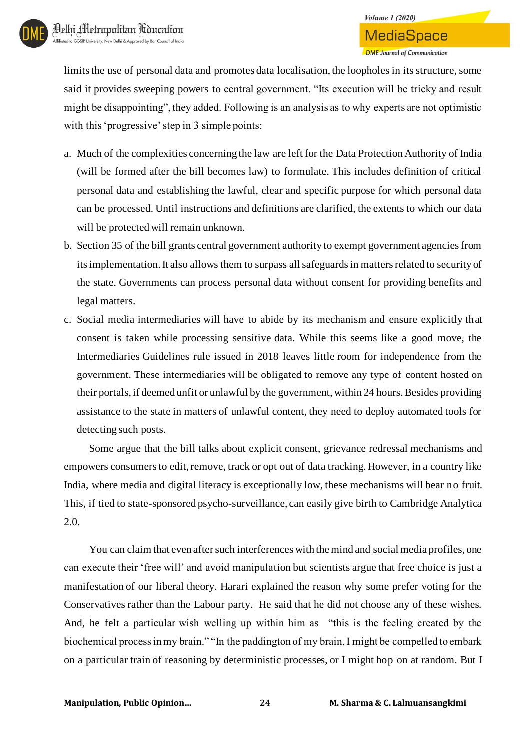limits the use of personal data and promotes data localisation, the loopholes in its structure, some said it provides sweeping powers to central government. "Its execution will be tricky and result might be disappointing", they added. Following is an analysis as to why experts are not optimistic with this 'progressive' step in 3 simple points:

- a. Much of the complexities concerning the law are left for the Data Protection Authority of India (will be formed after the bill becomes law) to formulate. This includes definition of critical personal data and establishing the lawful, clear and specific purpose for which personal data can be processed. Until instructions and definitions are clarified, the extents to which our data will be protected will remain unknown.
- b. Section 35 of the bill grants central government authority to exempt government agencies from its implementation. It also allows them to surpass all safeguards in matters related to security of the state. Governments can process personal data without consent for providing benefits and legal matters.
- c. Social media intermediaries will have to abide by its mechanism and ensure explicitly that consent is taken while processing sensitive data. While this seems like a good move, the Intermediaries Guidelines rule issued in 2018 leaves little room for independence from the government. These intermediaries will be obligated to remove any type of content hosted on their portals, if deemed unfit or unlawful by the government, within 24 hours. Besides providing assistance to the state in matters of unlawful content, they need to deploy automated tools for detecting such posts.

Some argue that the bill talks about explicit consent, grievance redressal mechanisms and empowers consumers to edit, remove, track or opt out of data tracking. However, in a country like India, where media and digital literacy is exceptionally low, these mechanisms will bear no fruit. This, if tied to state-sponsored psycho-surveillance, can easily give birth to Cambridge Analytica 2.0.

You can claim that even after such interferences with the mind and social media profiles, one can execute their 'free will' and avoid manipulation but scientists argue that free choice is just a manifestation of our liberal theory. Harari explained the reason why some prefer voting for the Conservatives rather than the Labour party. He said that he did not choose any of these wishes. And, he felt a particular wish welling up within him as "this is the feeling created by the biochemical process in my brain." "In the paddington of my brain, I might be compelled to embark on a particular train of reasoning by deterministic processes, or I might hop on at random. But I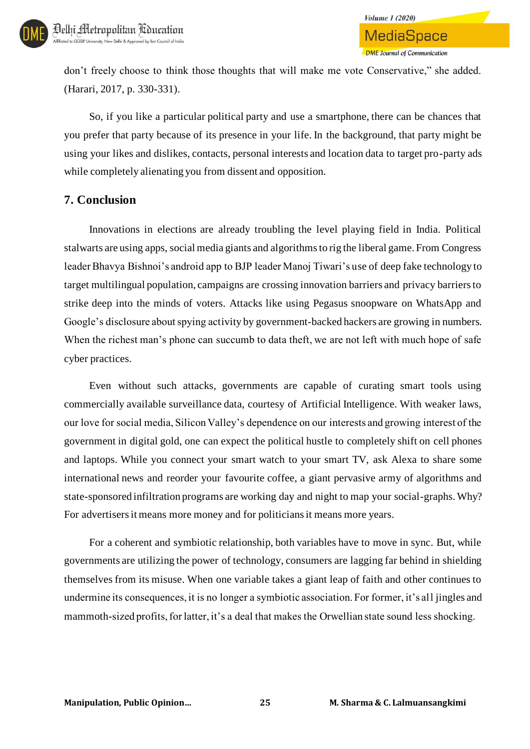don't freely choose to think those thoughts that will make me vote Conservative," she added. (Harari, 2017, p. 330-331).

So, if you like a particular political party and use a smartphone, there can be chances that you prefer that party because of its presence in your life. In the background, that party might be using your likes and dislikes, contacts, personal interests and location data to target pro-party ads while completely alienating you from dissent and opposition.

### **7. Conclusion**

Innovations in elections are already troubling the level playing field in India. Political stalwarts are using apps, social media giants and algorithms to rig the liberal game. From Congress leader Bhavya Bishnoi's android app to BJP leader Manoj Tiwari's use of deep fake technology to target multilingual population, campaigns are crossing innovation barriers and privacy barriers to strike deep into the minds of voters. Attacks like using Pegasus snoopware on WhatsApp and Google's disclosure about spying activity by government-backed hackers are growing in numbers. When the richest man's phone can succumb to data theft, we are not left with much hope of safe cyber practices.

Even without such attacks, governments are capable of curating smart tools using commercially available surveillance data, courtesy of Artificial Intelligence. With weaker laws, our love for social media, Silicon Valley's dependence on our interests and growing interest of the government in digital gold, one can expect the political hustle to completely shift on cell phones and laptops. While you connect your smart watch to your smart TV, ask Alexa to share some international news and reorder your favourite coffee, a giant pervasive army of algorithms and state-sponsored infiltration programs are working day and night to map your social-graphs. Why? For advertisers it means more money and for politicians it means more years.

For a coherent and symbiotic relationship, both variables have to move in sync. But, while governments are utilizing the power of technology, consumers are lagging far behind in shielding themselves from its misuse. When one variable takes a giant leap of faith and other continues to undermine its consequences, it is no longer a symbiotic association. For former, it's all jingles and mammoth-sized profits, for latter, it's a deal that makes the Orwellian state sound less shocking.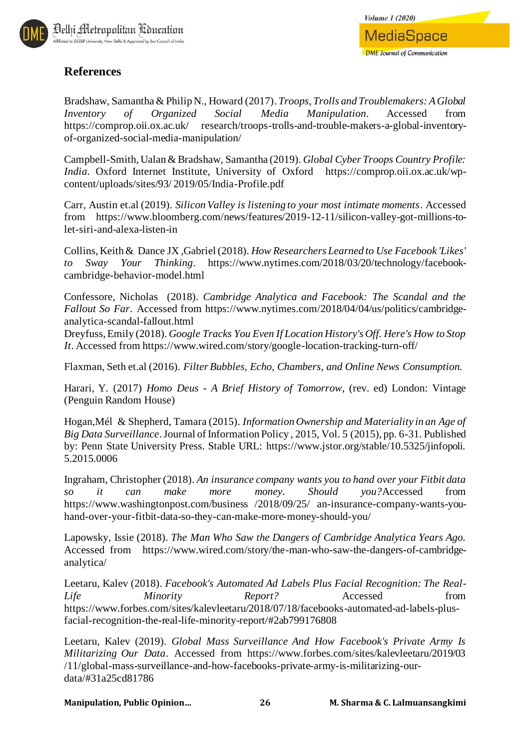

# **References**

Bradshaw, Samantha & Philip N., Howard (2017). *Troops, Trolls and Troublemakers: A Global Inventory of Organized Social Media Manipulation*. Accessed from https://comprop.oii.ox.ac.uk/ research/troops-trolls-and-trouble-makers-a-global-inventoryof-organized-social-media-manipulation/

Campbell-Smith, Ualan & Bradshaw, Samantha (2019). *Global Cyber Troops Country Profile: India*. Oxford Internet Institute, University of Oxford https://comprop.oii.ox.ac.uk/wpcontent/uploads/sites/93/ 2019/05/India-Profile.pdf

Carr, Austin et.al (2019). *Silicon Valley is listening to your most intimate moments*. Accessed from https://www.bloomberg.com/news/features/2019-12-11/silicon-valley-got-millions-tolet-siri-and-alexa-listen-in

Collins, Keith & Dance JX ,Gabriel (2018). *How Researchers Learned to Use Facebook 'Likes' to Sway Your Thinking*. https://www.nytimes.com/2018/03/20/technology/facebookcambridge-behavior-model.html

Confessore, Nicholas (2018). *Cambridge Analytica and Facebook: The Scandal and the Fallout So Far*. Accessed from https://www.nytimes.com/2018/04/04/us/politics/cambridgeanalytica-scandal-fallout.html

Dreyfuss, Emily (2018). *Google Tracks You Even If Location History's Off. Here's How to Stop It*. Accessed from https://www.wired.com/story/google-location-tracking-turn-off/

Flaxman, Seth et.al (2016). *Filter Bubbles, Echo, Chambers, and Online News Consumption.* 

Harari, Y. (2017) *Homo Deus - A Brief History of Tomorrow*, (rev. ed) London: Vintage (Penguin Random House)

Hogan,Mél & Shepherd, Tamara (2015). *Information Ownership and Materiality in an Age of Big Data Surveillance*. Journal of Information Policy , 2015, Vol. 5 (2015), pp. 6-31. Published by: Penn State University Press. Stable URL: https://www.jstor.org/stable/10.5325/jinfopoli. 5.2015.0006

Ingraham, Christopher (2018). *An insurance company wants you to hand over your Fitbit data so it can make more money. Should you?*Accessed from https://www.washingtonpost.com/business /2018/09/25/ an-insurance-company-wants-youhand-over-your-fitbit-data-so-they-can-make-more-money-should-you/

Lapowsky, Issie (2018). *The Man Who Saw the Dangers of Cambridge Analytica Years Ago.*  Accessed from https://www.wired.com/story/the-man-who-saw-the-dangers-of-cambridgeanalytica/

Leetaru, Kalev (2018). *Facebook's Automated Ad Labels Plus Facial Recognition: The Real-Life Minority Report?* Accessed from https://www.forbes.com/sites/kalevleetaru/2018/07/18/facebooks-automated-ad-labels-plusfacial-recognition-the-real-life-minority-report/#2ab799176808

Leetaru, Kalev (2019). *Global Mass Surveillance And How Facebook's Private Army Is Militarizing Our Data*. Accessed from https://www.forbes.com/sites/kalevleetaru/2019/03 /11/global-mass-surveillance-and-how-facebooks-private-army-is-militarizing-ourdata/#31a25cd81786